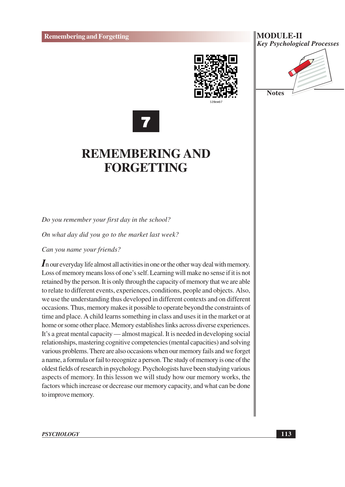







### **REMEMBERING AND FORGETTING**

Do you remember your first day in the school?

On what day did you go to the market last week?

Can you name your friends?

 $\mathbf I$  n our everyday life almost all activities in one or the other way deal with memory. Loss of memory means loss of one's self. Learning will make no sense if it is not retained by the person. It is only through the capacity of memory that we are able to relate to different events, experiences, conditions, people and objects. Also, we use the understanding thus developed in different contexts and on different occasions. Thus, memory makes it possible to operate beyond the constraints of time and place. A child learns something in class and uses it in the market or at home or some other place. Memory establishes links across diverse experiences. It's a great mental capacity — almost magical. It is needed in developing social relationships, mastering cognitive competencies (mental capacities) and solving various problems. There are also occasions when our memory fails and we forget a name, a formula or fail to recognize a person. The study of memory is one of the oldest fields of research in psychology. Psychologists have been studying various aspects of memory. In this lesson we will study how our memory works, the factors which increase or decrease our memory capacity, and what can be done to improve memory.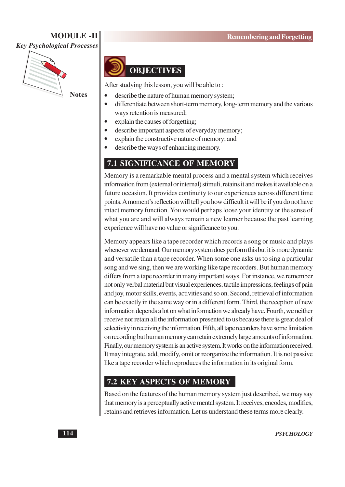#### **MODULE-II Key Psychological Processes**



**Notes** 



After studying this lesson, you will be able to:

- $\bullet$ describe the nature of human memory system;
	- differentiate between short-term memory, long-term memory and the various ways retention is measured;
- explain the causes of forgetting;  $\bullet$ 
	- describe important aspects of everyday memory;
- explain the constructive nature of memory; and
- describe the ways of enhancing memory.

#### **7.1 SIGNIFICANCE OF MEMORY**

Memory is a remarkable mental process and a mental system which receives information from (external or internal) stimuli, retains it and makes it available on a future occasion. It provides continuity to our experiences across different time points. A moment's reflection will tell you how difficult it will be if you do not have intact memory function. You would perhaps loose your identity or the sense of what you are and will always remain a new learner because the past learning experience will have no value or significance to you.

Memory appears like a tape recorder which records a song or music and plays whenever we demand. Our memory system does perform this but it is more dynamic and versatile than a tape recorder. When some one asks us to sing a particular song and we sing, then we are working like tape recorders. But human memory differs from a tape recorder in many important ways. For instance, we remember not only verbal material but visual experiences, tactile impressions, feelings of pain and joy, motor skills, events, activities and so on. Second, retrieval of information can be exactly in the same way or in a different form. Third, the reception of new information depends a lot on what information we already have. Fourth, we neither receive nor retain all the information presented to us because there is great deal of selectivity in receiving the information. Fifth, all tape recorders have some limitation on recording but human memory can retain extremely large amounts of information. Finally, our memory system is an active system. It works on the information received. It may integrate, add, modify, omit or reorganize the information. It is not passive like a tape recorder which reproduces the information in its original form.

#### **7.2 KEY ASPECTS OF MEMORY**

Based on the features of the human memory system just described, we may say that memory is a perceptually active mental system. It receives, encodes, modifies, retains and retrieves information. Let us understand these terms more clearly.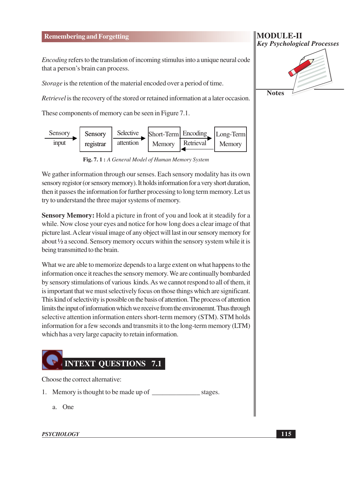#### **Remembering and Forgetting**

*Encoding* refers to the translation of incoming stimulus into a unique neural code that a person's brain can process.

Storage is the retention of the material encoded over a period of time.

*Retrievel* is the recovery of the stored or retained information at a later occasion.

These components of memory can be seen in Figure 7.1.



Fig. 7. 1: A General Model of Human Memory System

We gather information through our senses. Each sensory modality has its own sensory registor (or sensory memory). It holds information for a very short duration, then it passes the information for further processing to long term memory. Let us try to understand the three major systems of memory.

**Sensory Memory:** Hold a picture in front of you and look at it steadily for a while. Now close your eyes and notice for how long does a clear image of that picture last. A clear visual image of any object will last in our sensory memory for about  $\frac{1}{2}$  a second. Sensory memory occurs within the sensory system while it is being transmitted to the brain.

What we are able to memorize depends to a large extent on what happens to the information once it reaches the sensory memory. We are continually bombarded by sensory stimulations of various kinds. As we cannot respond to all of them, it is important that we must selectively focus on those things which are significant. This kind of selectivity is possible on the basis of attention. The process of attention limits the input of information which we receive from the environemnt. Thus through selective attention information enters short-term memory (STM). STM holds information for a few seconds and transmits it to the long-term memory (LTM) which has a very large capacity to retain information.



Choose the correct alternative:

- stages.
	- a. One

#### **PSYCHOLOGY**

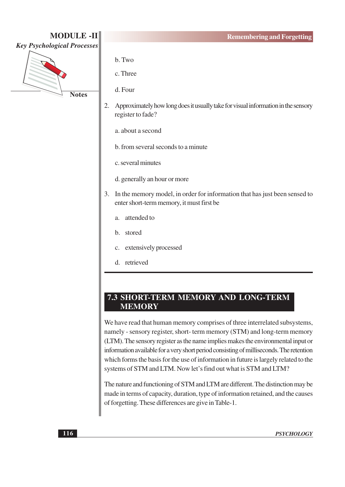

- b. Two
- c. Three
- d. Four
- 2. Approximately how long does it usually take for visual information in the sensory register to fade?

a. about a second

- b. from several seconds to a minute
- c. several minutes
- d. generally an hour or more
- 3. In the memory model, in order for information that has just been sensed to enter short-term memory, it must first be
	- a. attended to
	- h stored
	- c. extensively processed
	- d. retrieved

#### 7.3 SHORT-TERM MEMORY AND LONG-TERM **MEMORY**

We have read that human memory comprises of three interrelated subsystems, namely - sensory register, short-term memory (STM) and long-term memory (LTM). The sensory register as the name implies makes the environmental input or information available for a very short period consisting of milliseconds. The retention which forms the basis for the use of information in future is largely related to the systems of STM and LTM. Now let's find out what is STM and LTM?

The nature and functioning of STM and LTM are different. The distinction may be made in terms of capacity, duration, type of information retained, and the causes of forgetting. These differences are give in Table-1.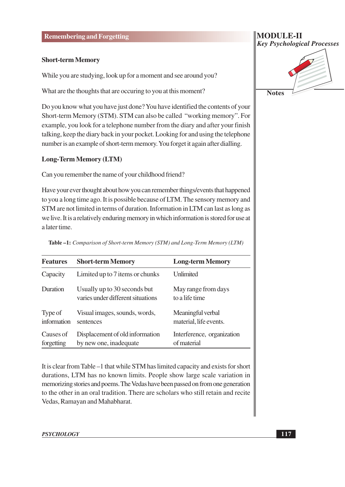#### **Short-term Memory**

While you are studying, look up for a moment and see around you?

What are the thoughts that are occurring to you at this moment?

Do you know what you have just done? You have identified the contents of your Short-term Memory (STM). STM can also be called "working memory". For example, you look for a telephone number from the diary and after your finish talking, keep the diary back in your pocket. Looking for and using the telephone number is an example of short-term memory. You forget it again after dialling.

#### **Long-Term Memory (LTM)**

Can you remember the name of your childhood friend?

Have your ever thought about how you can remember things/events that happened to you a long time ago. It is possible because of LTM. The sensory memory and STM are not limited in terms of duration. Information in LTM can last as long as we live. It is a relatively enduring memory in which information is stored for use at a later time.

| <b>Features</b>         | <b>Short-term Memory</b>                                          | <b>Long-term Memory</b>                     |
|-------------------------|-------------------------------------------------------------------|---------------------------------------------|
| Capacity                | Limited up to 7 items or chunks                                   | Unlimited                                   |
| Duration                | Usually up to 30 seconds but<br>varies under different situations | May range from days<br>to a life time       |
| Type of<br>information  | Visual images, sounds, words,<br>sentences                        | Meaningful verbal<br>material, life events. |
| Causes of<br>forgetting | Displacement of old information<br>by new one, inadequate         | Interference, organization<br>of material   |

Table -1: Comparison of Short-term Memory (STM) and Long-Term Memory (LTM)

It is clear from Table –1 that while STM has limited capacity and exists for short durations, LTM has no known limits. People show large scale variation in memorizing stories and poems. The Vedas have been passed on from one generation to the other in an oral tradition. There are scholars who still retain and recite Vedas, Ramayan and Mahabharat.

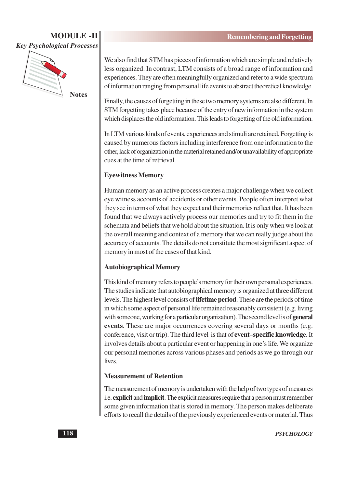#### **MODULE-II Key Psychological Processes**



**Notes** 

We also find that STM has pieces of information which are simple and relatively less organized. In contrast, LTM consists of a broad range of information and experiences. They are often meaningfully organized and refer to a wide spectrum of information ranging from personal life events to abstract theoretical knowledge.

Finally, the causes of forgetting in these two memory systems are also different. In STM forgetting takes place because of the entry of new information in the system which displaces the old information. This leads to forgetting of the old information.

In LTM various kinds of events, experiences and stimuli are retained. Forgetting is caused by numerous factors including interference from one information to the other, lack of organization in the material retained and/or unavailability of appropriate cues at the time of retrieval.

#### **Evewitness Memory**

Human memory as an active process creates a major challenge when we collect eye witness accounts of accidents or other events. People often interpret what they see in terms of what they expect and their memories reflect that. It has been found that we always actively process our memories and try to fit them in the schemata and beliefs that we hold about the situation. It is only when we look at the overall meaning and context of a memory that we can really judge about the accuracy of accounts. The details do not constitute the most significant aspect of memory in most of the cases of that kind.

#### **Autobiographical Memory**

This kind of memory refers to people's memory for their own personal experiences. The studies indicate that autobiographical memory is organized at three different levels. The highest level consists of **lifetime period**. These are the periods of time in which some aspect of personal life remained reasonably consistent (e.g. living with someone, working for a particular organization). The second level is of **general** events. These are major occurrences covering several days or months (e.g. conference, visit or trip). The third level is that of **event-specific knowledge**. It involves details about a particular event or happening in one's life. We organize our personal memories across various phases and periods as we go through our lives.

#### **Measurement of Retention**

The measurement of memory is undertaken with the help of two types of measures i.e. explicit and implicit. The explicit measures require that a person must remember some given information that is stored in memory. The person makes deliberate efforts to recall the details of the previously experienced events or material. Thus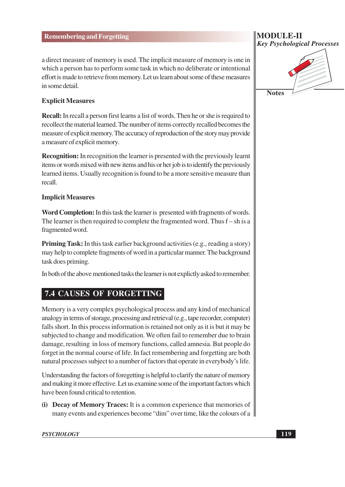a direct measure of memory is used. The implicit measure of memory is one in which a person has to perform some task in which no deliberate or intentional effort is made to retrieve from memory. Let us learn about some of these measures in some detail.

#### **Explicit Measures**

**Recall:** In recall a person first learns a list of words. Then he or she is required to recollect the material learned. The number of items correctly recalled becomes the measure of explicit memory. The accuracy of reproduction of the story may provide a measure of explicit memory.

**Recognition:** In recognition the learner is presented with the previously learnt items or words mixed with new items and his or her job is to identify the previously learned items. Usually recognition is found to be a more sensitive measure than recall

#### **Implicit Measures**

Word Completion: In this task the learner is presented with fragments of words. The learner is then required to complete the fragmented word. Thus  $f - sh$  is a fragmented word.

**Priming Task:** In this task earlier background activities (e.g., reading a story) may help to complete fragments of word in a particular manner. The background task does priming.

In both of the above mentioned tasks the learner is not explictly asked to remember.

#### **7.4 CAUSES OF FORGETTING**

Memory is a very complex psychological process and any kind of mechanical analogy in terms of storage, processing and retrieval (e.g., tape recorder, computer) falls short. In this process information is retained not only as it is but it may be subjected to change and modification. We often fail to remember due to brain damage, resulting in loss of memory functions, called amnesia. But people do forget in the normal course of life. In fact remembering and forgetting are both natural processes subject to a number of factors that operate in everybody's life.

Understanding the factors of foregetting is helpful to clarify the nature of memory and making it more effective. Let us examine some of the important factors which have been found critical to retention.

(i) Decay of Memory Traces: It is a common experience that memories of many events and experiences become "dim" over time, like the colours of a

**Key Psychological Processes Notes** 

**MODULE-II**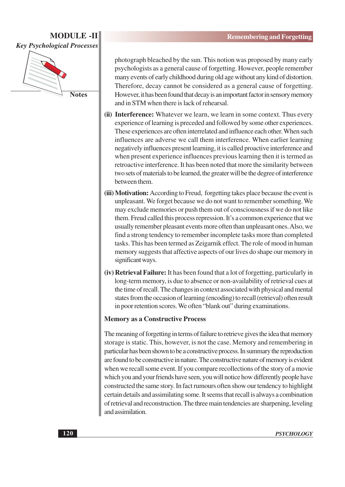# **MODULE-II Key Psychological Processes**

**Notes** 

photograph bleached by the sun. This notion was proposed by many early psychologists as a general cause of forgetting. However, people remember many events of early childhood during old age without any kind of distortion. Therefore, decay cannot be considered as a general cause of forgetting. However, it has been found that decay is an important factor in sensory memory and in STM when there is lack of rehearsal.

- (ii) Interference: Whatever we learn, we learn in some context. Thus every experience of learning is preceded and followed by some other experiences. These experiences are often interrelated and influence each other. When such influences are adverse we call them interference. When earlier learning negatively influences present learning, it is called proactive interference and when present experience influences previous learning then it is termed as retroactive interference. It has been noted that more the similarity between two sets of materials to be learned, the greater will be the degree of interference between them.
- (iii) Motivation: According to Freud, forgetting takes place because the event is unpleasant. We forget because we do not want to remember something. We may exclude memories or push them out of consciousness if we do not like them. Freud called this process repression. It's a common experience that we usually remember pleasant events more often than unpleasant ones. Also, we find a strong tendency to remember incomplete tasks more than completed tasks. This has been termed as Zeigarnik effect. The role of mood in human memory suggests that affective aspects of our lives do shape our memory in significant ways.
- (iv) Retrieval Failure: It has been found that a lot of forgetting, particularly in long-term memory, is due to absence or non-availability of retrieval cues at the time of recall. The changes in context associated with physical and mental states from the occasion of learning (encoding) to recall (retrieval) often result in poor retention scores. We often "blank out" during examinations.

#### **Memory as a Constructive Process**

The meaning of forgetting in terms of failure to retrieve gives the idea that memory storage is static. This, however, is not the case. Memory and remembering in particular has been shown to be a constructive process. In summary the reproduction are found to be constructive in nature. The constructive nature of memory is evident when we recall some event. If you compare recollections of the story of a movie which you and your friends have seen, you will notice how differently people have constructed the same story. In fact rumours often show our tendency to highlight certain details and assimilating some. It seems that recall is always a combination of retrieval and reconstruction. The three main tendencies are sharpening, leveling and assimilation.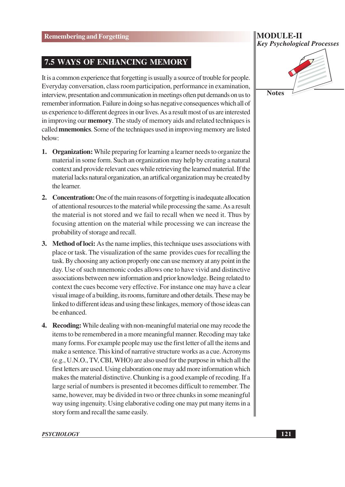#### 7.5 WAYS OF ENHANCING MEMORY

It is a common experience that forgetting is usually a source of trouble for people. Everyday conversation, class room participation, performance in examination, interview, presentation and communication in meetings often put demands on us to remember information. Failure in doing so has negative consequences which all of us experience to different degrees in our lives. As a result most of us are interested in improving our **memory**. The study of memory aids and related techniques is called **mnemonics**. Some of the techniques used in improving memory are listed below:

- 1. Organization: While preparing for learning a learner needs to organize the material in some form. Such an organization may help by creating a natural context and provide relevant cues while retrieving the learned material. If the material lacks natural organization, an artifical organization may be created by the learner.
- 2. Concentration: One of the main reasons of forgetting is inadequate allocation of attentional resources to the material while processing the same. As a result the material is not stored and we fail to recall when we need it. Thus by focusing attention on the material while processing we can increase the probability of storage and recall.
- 3. Method of loci: As the name implies, this technique uses associations with place or task. The visualization of the same provides cues for recalling the task. By choosing any action properly one can use memory at any point in the day. Use of such mnemonic codes allows one to have vivid and distinctive associations between new information and prior knowledge. Being related to context the cues become very effective. For instance one may have a clear visual image of a building, its rooms, furniture and other details. These may be linked to different ideas and using these linkages, memory of those ideas can be enhanced.
- 4. Recoding: While dealing with non-meaningful material one may recode the items to be remembered in a more meaningful manner. Recoding may take many forms. For example people may use the first letter of all the items and make a sentence. This kind of narrative structure works as a cue. Acronyms (e.g., U.N.O., TV, CBI, WHO) are also used for the purpose in which all the first letters are used. Using elaboration one may add more information which makes the material distinctive. Chunking is a good example of recoding. If a large serial of numbers is presented it becomes difficult to remember. The same, however, may be divided in two or three chunks in some meaningful way using ingenuity. Using elaborative coding one may put many items in a story form and recall the same easily.

#### **MODULE-II Key Psychological Processes**

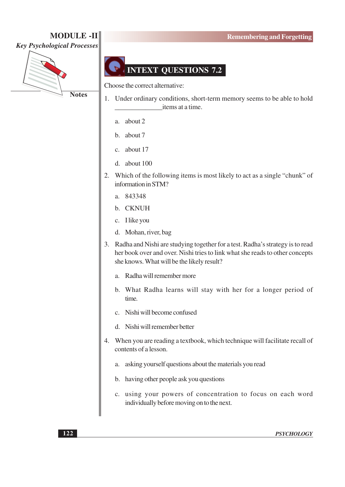# **Key Psychological Processes**



**MODULE -II** 



Choose the correct alternative:

- 1. Under ordinary conditions, short-term memory seems to be able to hold items at a time.
	- a. about 2
	- b. about 7
	- c. about 17
	- d. about  $100$
- 2. Which of the following items is most likely to act as a single "chunk" of information in STM?
	- a. 843348
	- b. CKNUH
	- c. I like you
	- d. Mohan, river, bag
- 3. Radha and Nishi are studying together for a test. Radha's strategy is to read her book over and over. Nishi tries to link what she reads to other concepts she knows. What will be the likely result?
	- a. Radha will remember more
	- b. What Radha learns will stay with her for a longer period of time.
	- c. Nishi will become confused
	- d. Nishi will remember better
- 4. When you are reading a textbook, which technique will facilitate recall of contents of a lesson.
	- a. asking yourself questions about the materials you read
	- b. having other people ask you questions
	- c. using your powers of concentration to focus on each word individually before moving on to the next.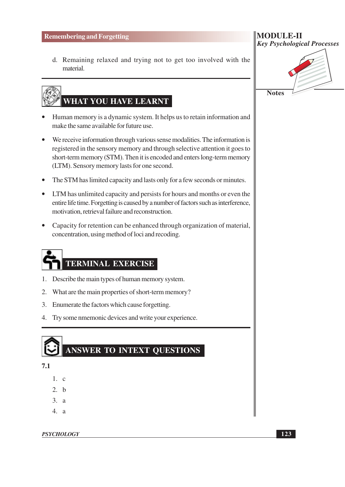d. Remaining relaxed and trying not to get too involved with the material.

# WHAT YOU HAVE LEARNT

- Human memory is a dynamic system. It helps us to retain information and make the same available for future use.
- We receive information through various sense modalities. The information is registered in the sensory memory and through selective attention it goes to short-term memory (STM). Then it is encoded and enters long-term memory (LTM). Sensory memory lasts for one second.
- The STM has limited capacity and lasts only for a few seconds or minutes.
- LTM has unlimited capacity and persists for hours and months or even the entire life time. Forgetting is caused by a number of factors such as interference, motivation, retrieval failure and reconstruction.
- Capacity for retention can be enhanced through organization of material, concentration, using method of loci and recoding.

# **TERMINAL EXERCISE**

- 1. Describe the main types of human memory system.
- 2. What are the main properties of short-term memory?
- 3. Enumerate the factors which cause forgetting.
- 4. Try some nmemonic devices and write your experience.



 $7.1$ 

- $1$ . c
- $2. b$
- $3. a$
- $\frac{4}{3}$

**PSYCHOLOGY** 

| <b>MODULE-II</b>                   |
|------------------------------------|
| <b>Key Psychological Processes</b> |
|                                    |

Notes  $\sim$ 

123